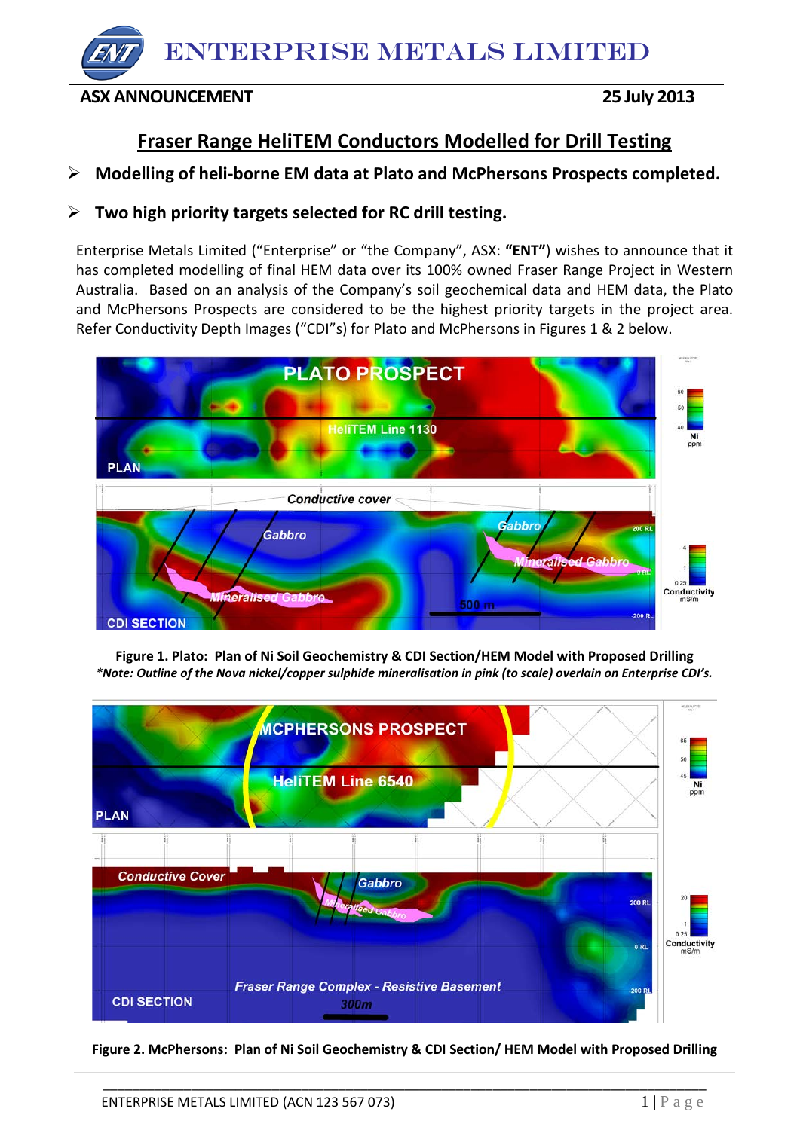# ENTERPRISE METALS LIMITED

## **ASX ANNOUNCEMENT 25 July 2013**

# **Fraser Range HeliTEM Conductors Modelled for Drill Testing**

# **Modelling of heli-borne EM data at Plato and McPhersons Prospects completed.**

# **Two high priority targets selected for RC drill testing.**

Enterprise Metals Limited ("Enterprise" or "the Company", ASX: **"ENT"**) wishes to announce that it has completed modelling of final HEM data over its 100% owned Fraser Range Project in Western Australia. Based on an analysis of the Company's soil geochemical data and HEM data, the Plato and McPhersons Prospects are considered to be the highest priority targets in the project area. Refer Conductivity Depth Images ("CDI"s) for Plato and McPhersons in Figures 1 & 2 below.



**Figure 1. Plato: Plan of Ni Soil Geochemistry & CDI Section/HEM Model with Proposed Drilling** *\*Note: Outline of the Nova nickel/copper sulphide mineralisation in pink (to scale) overlain on Enterprise CDI's.*



**Figure 2. McPhersons: Plan of Ni Soil Geochemistry & CDI Section/ HEM Model with Proposed Drilling**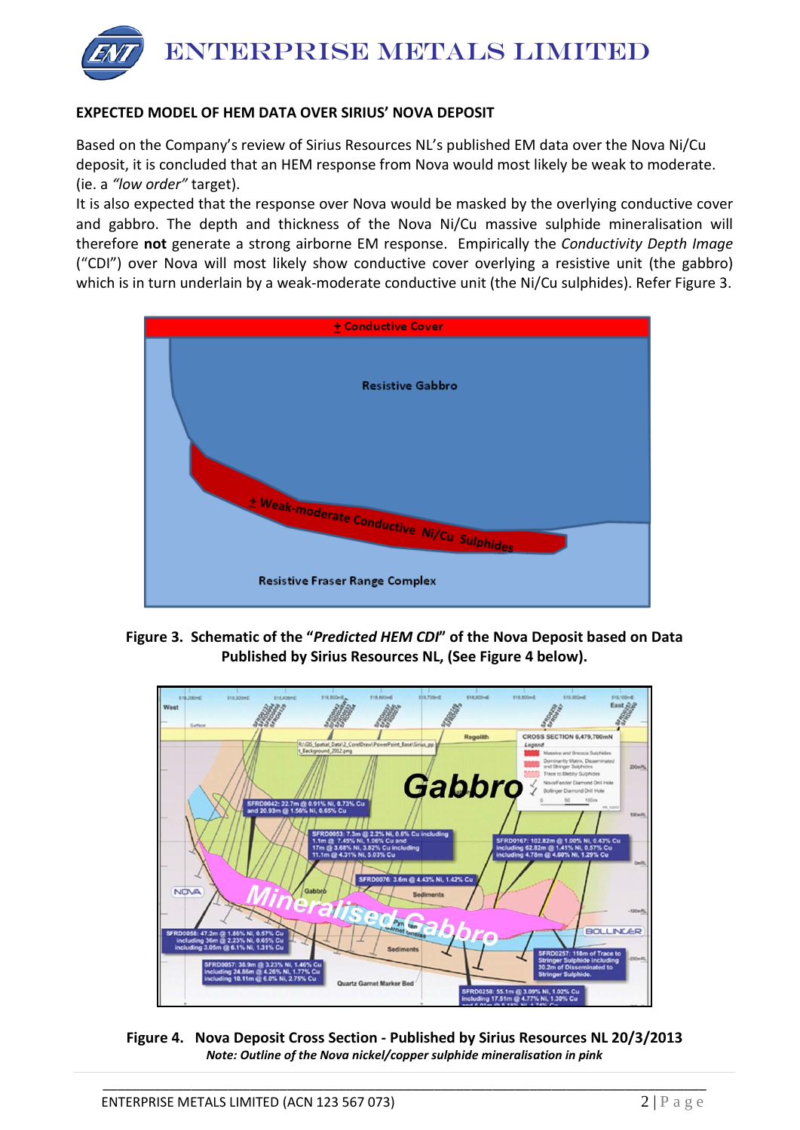

### **EXPECTED MODEL OF HEM DATA OVER SIRIUS' NOVA DEPOSIT**

Based on the Company's review of Sirius Resources NL's published EM data over the Nova Ni/Cu deposit, it is concluded that an HEM response from Nova would most likely be weak to moderate. (ie. a *"low order"* target).

It is also expected that the response over Nova would be masked by the overlying conductive cover and gabbro. The depth and thickness of the Nova Ni/Cu massive sulphide mineralisation will therefore **not** generate a strong airborne EM response. Empirically the *Conductivity Depth Image* ("CDI") over Nova will most likely show conductive cover overlying a resistive unit (the gabbro) which is in turn underlain by a weak-moderate conductive unit (the Ni/Cu sulphides). Refer Figure 3.



**Figure 3. Schematic of the "***Predicted HEM CDI***" of the Nova Deposit based on Data Published by Sirius Resources NL, (See Figure 4 below).**



**Figure 4. Nova Deposit Cross Section - Published by Sirius Resources NL 20/3/2013** *Note: Outline of the Nova nickel/copper sulphide mineralisation in pink*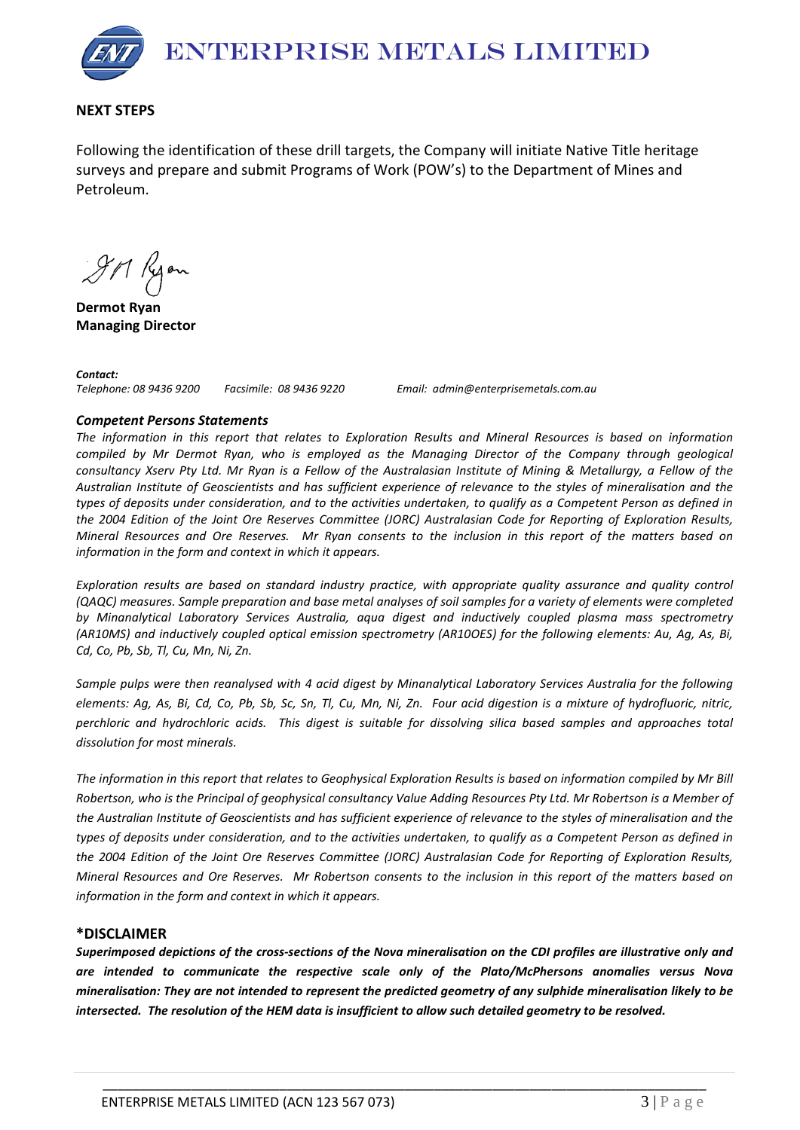

#### **NEXT STEPS**

Following the identification of these drill targets, the Company will initiate Native Title heritage surveys and prepare and submit Programs of Work (POW's) to the Department of Mines and Petroleum.

9M Ryon

**Dermot Ryan Managing Director**

*Contact: Telephone: 08 9436 9200 Facsimile: 08 9436 9220 Email: admin@enterprisemetals.com.au*

#### *Competent Persons Statements*

*The information in this report that relates to Exploration Results and Mineral Resources is based on information compiled by Mr Dermot Ryan, who is employed as the Managing Director of the Company through geological consultancy Xserv Pty Ltd. Mr Ryan is a Fellow of the Australasian Institute of Mining & Metallurgy, a Fellow of the Australian Institute of Geoscientists and has sufficient experience of relevance to the styles of mineralisation and the types of deposits under consideration, and to the activities undertaken, to qualify as a Competent Person as defined in the 2004 Edition of the Joint Ore Reserves Committee (JORC) Australasian Code for Reporting of Exploration Results, Mineral Resources and Ore Reserves. Mr Ryan consents to the inclusion in this report of the matters based on information in the form and context in which it appears.*

*Exploration results are based on standard industry practice, with appropriate quality assurance and quality control (QAQC) measures. Sample preparation and base metal analyses of soil samples for a variety of elements were completed by Minanalytical Laboratory Services Australia, aqua digest and inductively coupled plasma mass spectrometry (AR10MS) and inductively coupled optical emission spectrometry (AR10OES) for the following elements: Au, Ag, As, Bi, Cd, Co, Pb, Sb, Tl, Cu, Mn, Ni, Zn.*

*Sample pulps were then reanalysed with 4 acid digest by Minanalytical Laboratory Services Australia for the following elements: Ag, As, Bi, Cd, Co, Pb, Sb, Sc, Sn, Tl, Cu, Mn, Ni, Zn. Four acid digestion is a mixture of hydrofluoric, nitric, perchloric and hydrochloric acids. This digest is suitable for dissolving silica based samples and approaches total dissolution for most minerals.*

*The information in this report that relates to Geophysical Exploration Results is based on information compiled by Mr Bill Robertson, who is the Principal of geophysical consultancy Value Adding Resources Pty Ltd. Mr Robertson is a Member of the Australian Institute of Geoscientists and has sufficient experience of relevance to the styles of mineralisation and the types of deposits under consideration, and to the activities undertaken, to qualify as a Competent Person as defined in the 2004 Edition of the Joint Ore Reserves Committee (JORC) Australasian Code for Reporting of Exploration Results, Mineral Resources and Ore Reserves. Mr Robertson consents to the inclusion in this report of the matters based on information in the form and context in which it appears.*

#### **\*DISCLAIMER**

*Superimposed depictions of the cross-sections of the Nova mineralisation on the CDI profiles are illustrative only and are intended to communicate the respective scale only of the Plato/McPhersons anomalies versus Nova mineralisation: They are not intended to represent the predicted geometry of any sulphide mineralisation likely to be intersected. The resolution of the HEM data is insufficient to allow such detailed geometry to be resolved.*